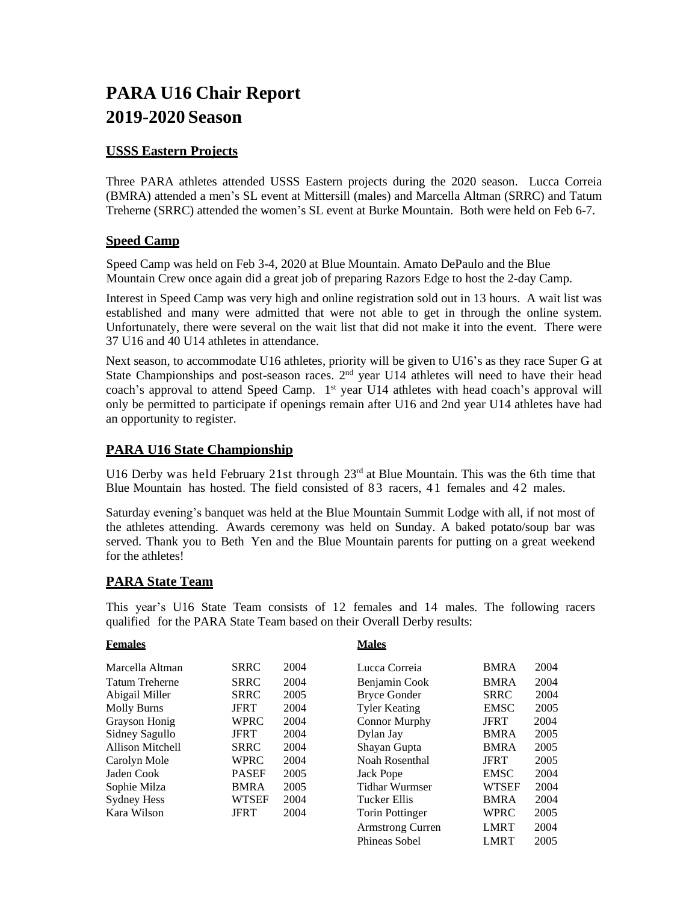# **PARA U16 Chair Report 2019-2020 Season**

# **USSS Eastern Projects**

Three PARA athletes attended USSS Eastern projects during the 2020 season. Lucca Correia (BMRA) attended a men's SL event at Mittersill (males) and Marcella Altman (SRRC) and Tatum Treherne (SRRC) attended the women's SL event at Burke Mountain. Both were held on Feb 6-7.

# **Speed Camp**

 Speed Camp was held on Feb 3-4, 2020 at Blue Mountain. Amato DePaulo and the Blue Mountain Crew once again did a great job of preparing Razors Edge to host the 2-day Camp.

Interest in Speed Camp was very high and online registration sold out in 13 hours. A wait list was established and many were admitted that were not able to get in through the online system. Unfortunately, there were several on the wait list that did not make it into the event. There were 37 U16 and 40 U14 athletes in attendance.

Next season, to accommodate U16 athletes, priority will be given to U16's as they race Super G at State Championships and post-season races. 2<sup>nd</sup> year U14 athletes will need to have their head coach's approval to attend Speed Camp. 1<sup>st</sup> year U14 athletes with head coach's approval will only be permitted to participate if openings remain after U16 and 2nd year U14 athletes have had an opportunity to register.

# **PARA U16 State Championship**

U16 Derby was held February 21st through 23<sup>rd</sup> at Blue Mountain. This was the 6th time that Blue Mountain has hosted. The field consisted of 83 racers, 41 females and 42 males.

Saturday evening's banquet was held at the Blue Mountain Summit Lodge with all, if not most of the athletes attending. Awards ceremony was held on Sunday. A baked potato/soup bar was served. Thank you to Beth Yen and the Blue Mountain parents for putting on a great weekend for the athletes!

## **PARA State Team**

This year's U16 State Team consists of 12 females and 14 males. The following racers qualified for the PARA State Team based on their Overall Derby results:

#### **Females**

| Marcella Altman       | <b>SRRC</b>  | 2004 | Lucca Correia           | <b>BMRA</b> | 2004 |
|-----------------------|--------------|------|-------------------------|-------------|------|
| <b>Tatum Treherne</b> | <b>SRRC</b>  | 2004 | Benjamin Cook           | <b>BMRA</b> | 2004 |
| Abigail Miller        | <b>SRRC</b>  | 2005 | <b>Bryce Gonder</b>     | <b>SRRC</b> | 2004 |
| <b>Molly Burns</b>    | <b>JFRT</b>  | 2004 | <b>Tyler Keating</b>    | <b>EMSC</b> | 2005 |
| Grayson Honig         | <b>WPRC</b>  | 2004 | <b>Connor Murphy</b>    | <b>JFRT</b> | 2004 |
| Sidney Sagullo        | <b>JFRT</b>  | 2004 | Dylan Jay               | <b>BMRA</b> | 2005 |
| Allison Mitchell      | <b>SRRC</b>  | 2004 | Shayan Gupta            | <b>BMRA</b> | 2005 |
| Carolyn Mole          | WPRC         | 2004 | Noah Rosenthal          | <b>JFRT</b> | 2005 |
| Jaden Cook            | <b>PASEF</b> | 2005 | Jack Pope               | <b>EMSC</b> | 2004 |
| Sophie Milza          | <b>BMRA</b>  | 2005 | Tidhar Wurmser          | WTSEF       | 2004 |
| <b>Sydney Hess</b>    | WTSEF        | 2004 | Tucker Ellis            | <b>BMRA</b> | 2004 |
| Kara Wilson           | <b>JFRT</b>  | 2004 | <b>Torin Pottinger</b>  | WPRC        | 2005 |
|                       |              |      | <b>Armstrong Curren</b> | <b>LMRT</b> | 2004 |
|                       |              |      | Phineas Sobel           | <b>LMRT</b> | 2005 |